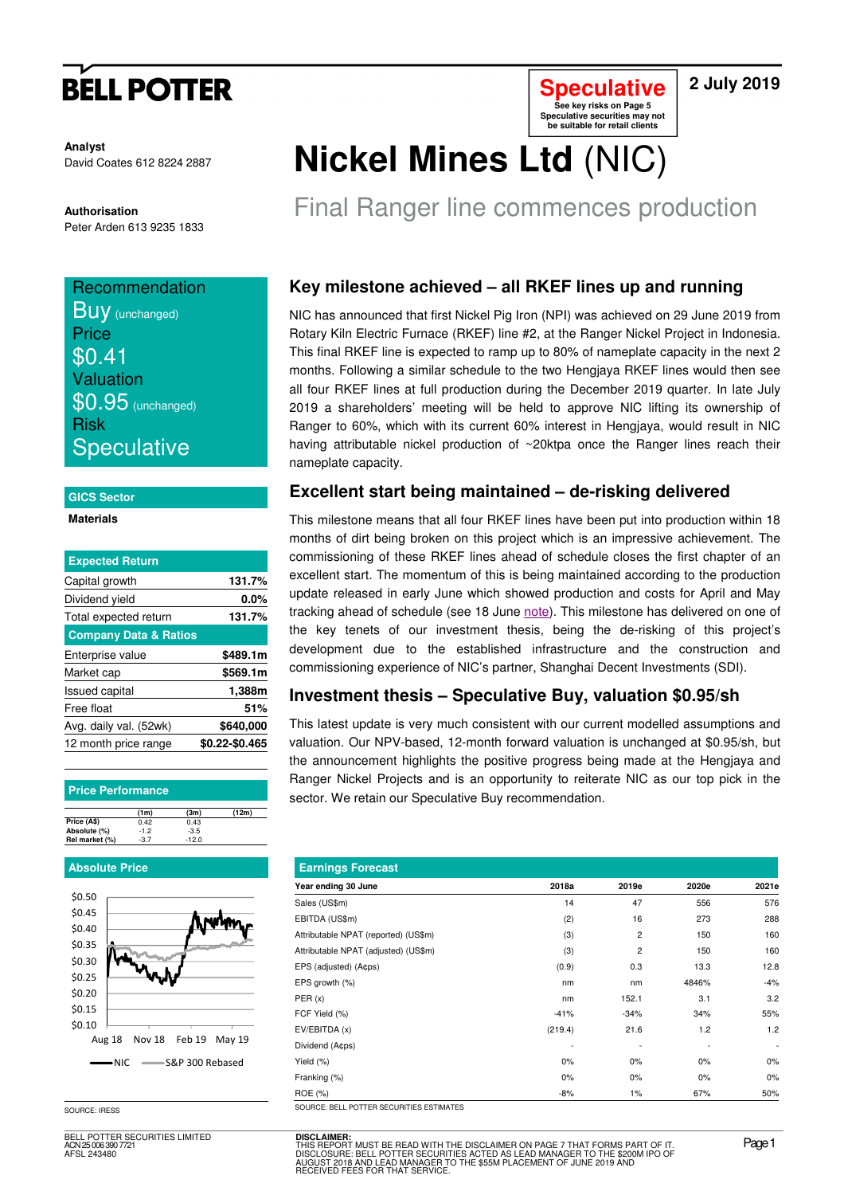# **BELL POTTER**

**Analyst** David Coates 612 8224 2887

**Authorisation** 

### Peter Arden 613 9235 1833

## **Recommendation BUV** (unchanged) **Price** \$0.41 Valuation  $$0.95$  (unchanged) Risk **Speculative**

### **GICS Sector**

**Materials** 

| <b>Expected Return</b>           |                |
|----------------------------------|----------------|
| Capital growth                   | 131.7%         |
| Dividend yield                   | 0.0%           |
| Total expected return            | 131.7%         |
| <b>Company Data &amp; Ratios</b> |                |
| Enterprise value                 | \$489.1m       |
| Market cap                       | \$569.1m       |
| <b>Issued capital</b>            | 1,388m         |
| Free float                       | 51%            |
| Avg. daily val. (52wk)           | \$640,000      |
| 12 month price range             | \$0.22-\$0.465 |

### **Price Performance**

|                | (1m)   | (3m)    | (12m) |
|----------------|--------|---------|-------|
| Price (A\$)    | 0.42   | 0.43    |       |
| Absolute (%)   | $-1.2$ | $-3.5$  |       |
| Rel market (%) | $-3.7$ | $-12.0$ |       |

### **Absolute Price**



SOURCE: IRESS

BELL POTTER SECURITIES LIMITED ACN 25 006 390 7721 AFSL 243480

# **Nickel Mines Ltd** (NIC)

Final Ranger line commences production

**Speculative See key risks on Page 5 Speculative securities may not be suitable for retail clients** 

## **Key milestone achieved – all RKEF lines up and running**

NIC has announced that first Nickel Pig Iron (NPI) was achieved on 29 June 2019 from Rotary Kiln Electric Furnace (RKEF) line #2, at the Ranger Nickel Project in Indonesia. This final RKEF line is expected to ramp up to 80% of nameplate capacity in the next 2 months. Following a similar schedule to the two Hengjaya RKEF lines would then see all four RKEF lines at full production during the December 2019 quarter. In late July 2019 a shareholders' meeting will be held to approve NIC lifting its ownership of Ranger to 60%, which with its current 60% interest in Hengjaya, would result in NIC having attributable nickel production of ~20ktpa once the Ranger lines reach their nameplate capacity.

### **Excellent start being maintained – de-risking delivered**

This milestone means that all four RKEF lines have been put into production within 18 months of dirt being broken on this project which is an impressive achievement. The commissioning of these RKEF lines ahead of schedule closes the first chapter of an excellent start. The momentum of this is being maintained according to the production update released in early June which showed production and costs for April and May tracking ahead of schedule (see 18 June note). This milestone has delivered on one of the key tenets of our investment thesis, being the de-risking of this project's development due to the established infrastructure and the construction and commissioning experience of NIC's partner, Shanghai Decent Investments (SDI).

## **Investment thesis – Speculative Buy, valuation \$0.95/sh**

This latest update is very much consistent with our current modelled assumptions and valuation. Our NPV-based, 12-month forward valuation is unchanged at \$0.95/sh, but the announcement highlights the positive progress being made at the Hengjaya and Ranger Nickel Projects and is an opportunity to reiterate NIC as our top pick in the sector. We retain our Speculative Buy recommendation.

| <b>Earnings Forecast</b>                  |         |        |       |                          |  |  |  |  |  |  |
|-------------------------------------------|---------|--------|-------|--------------------------|--|--|--|--|--|--|
| Year ending 30 June                       | 2018a   | 2019e  | 2020e | 2021e                    |  |  |  |  |  |  |
| Sales (US\$m)                             | 14      | 47     | 556   | 576                      |  |  |  |  |  |  |
| EBITDA (US\$m)                            | (2)     | 16     | 273   | 288                      |  |  |  |  |  |  |
| Attributable NPAT (reported) (US\$m)      | (3)     | 2      | 150   | 160                      |  |  |  |  |  |  |
| Attributable NPAT (adjusted) (US\$m)      | (3)     | 2      | 150   | 160                      |  |  |  |  |  |  |
| EPS (adjusted) (A¢ps)                     | (0.9)   | 0.3    | 13.3  | 12.8                     |  |  |  |  |  |  |
| EPS growth (%)                            | nm      | nm     | 4846% | $-4%$                    |  |  |  |  |  |  |
| PER(x)                                    | nm      | 152.1  | 3.1   | 3.2                      |  |  |  |  |  |  |
| FCF Yield (%)                             | $-41%$  | $-34%$ | 34%   | 55%                      |  |  |  |  |  |  |
| EV/EBITDA(x)                              | (219.4) | 21.6   | 1.2   | 1.2                      |  |  |  |  |  |  |
| Dividend (A¢ps)                           |         |        |       | $\overline{\phantom{a}}$ |  |  |  |  |  |  |
| Yield (%)                                 | $0\%$   | 0%     | $0\%$ | 0%                       |  |  |  |  |  |  |
| Franking (%)                              | 0%      | 0%     | $0\%$ | 0%                       |  |  |  |  |  |  |
| ROE (%)                                   | $-8%$   | $1\%$  | 67%   | 50%                      |  |  |  |  |  |  |
| SOLIBCE: BELL POTTER SECURITIES ESTIMATES |         |        |       |                          |  |  |  |  |  |  |

**DISCLAIMER:** THIS REPORT MUST BE READ WITH THE DISCLAIMER ON PAGE 7 THAT FORMS PART OF IT.<br>DISCLOSURE: BELL POTTER SECURITIES ACTED AS LEAD MANAGER TO THE \$200M IPO OF<br>AUGUST 2018 AND LEAD MANAGER TO THE \$55M PLACEMENT OF JUNE 2019 AND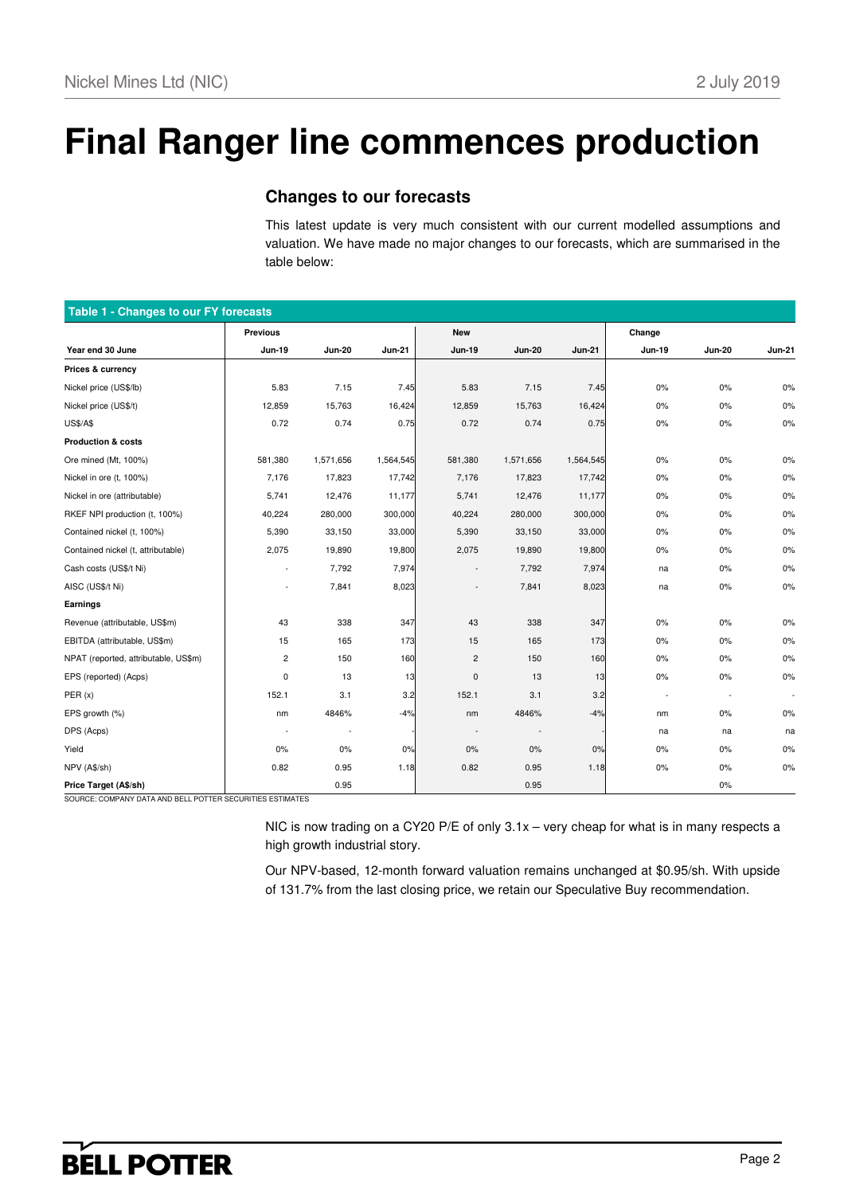# **Final Ranger line commences production**

### **Changes to our forecasts**

This latest update is very much consistent with our current modelled assumptions and valuation. We have made no major changes to our forecasts, which are summarised in the table below:

| Table 1 - Changes to our FY forecasts |                          |                          |               |                          |                          |               |                          |                          |                          |  |  |
|---------------------------------------|--------------------------|--------------------------|---------------|--------------------------|--------------------------|---------------|--------------------------|--------------------------|--------------------------|--|--|
|                                       | <b>Previous</b>          |                          |               | <b>New</b>               |                          |               | Change                   |                          |                          |  |  |
| Year end 30 June                      | <b>Jun-19</b>            | <b>Jun-20</b>            | <b>Jun-21</b> | <b>Jun-19</b>            | <b>Jun-20</b>            | <b>Jun-21</b> | <b>Jun-19</b>            | <b>Jun-20</b>            | <b>Jun-21</b>            |  |  |
| Prices & currency                     |                          |                          |               |                          |                          |               |                          |                          |                          |  |  |
| Nickel price (US\$/lb)                | 5.83                     | 7.15                     | 7.45          | 5.83                     | 7.15                     | 7.45          | $0\%$                    | $0\%$                    | 0%                       |  |  |
| Nickel price (US\$/t)                 | 12,859                   | 15,763                   | 16,424        | 12,859                   | 15,763                   | 16,424        | $0\%$                    | $0\%$                    | 0%                       |  |  |
| <b>US\$/A\$</b>                       | 0.72                     | 0.74                     | 0.75          | 0.72                     | 0.74                     | 0.75          | $0\%$                    | 0%                       | 0%                       |  |  |
| <b>Production &amp; costs</b>         |                          |                          |               |                          |                          |               |                          |                          |                          |  |  |
| Ore mined (Mt, 100%)                  | 581,380                  | 1,571,656                | 1,564,545     | 581,380                  | 1,571,656                | 1,564,545     | $0\%$                    | $0\%$                    | 0%                       |  |  |
| Nickel in ore (t, 100%)               | 7,176                    | 17,823                   | 17,742        | 7,176                    | 17,823                   | 17,742        | $0\%$                    | 0%                       | 0%                       |  |  |
| Nickel in ore (attributable)          | 5,741                    | 12,476                   | 11,177        | 5,741                    | 12,476                   | 11,177        | $0\%$                    | $0\%$                    | 0%                       |  |  |
| RKEF NPI production (t, 100%)         | 40,224                   | 280,000                  | 300,000       | 40,224                   | 280,000                  | 300,000       | $0\%$                    | $0\%$                    | 0%                       |  |  |
| Contained nickel (t, 100%)            | 5,390                    | 33,150                   | 33,000        | 5,390                    | 33,150                   | 33,000        | $0\%$                    | 0%                       | 0%                       |  |  |
| Contained nickel (t, attributable)    | 2,075                    | 19,890                   | 19,800        | 2,075                    | 19,890                   | 19,800        | $0\%$                    | 0%                       | 0%                       |  |  |
| Cash costs (US\$/t Ni)                | $\overline{\phantom{a}}$ | 7,792                    | 7,974         | $\overline{\phantom{a}}$ | 7,792                    | 7,974         | na                       | 0%                       | 0%                       |  |  |
| AISC (US\$/t Ni)                      | $\overline{\phantom{a}}$ | 7,841                    | 8,023         | $\overline{\phantom{a}}$ | 7,841                    | 8,023         | na                       | $0\%$                    | $0\%$                    |  |  |
| Earnings                              |                          |                          |               |                          |                          |               |                          |                          |                          |  |  |
| Revenue (attributable, US\$m)         | 43                       | 338                      | 347           | 43                       | 338                      | 347           | $0\%$                    | 0%                       | 0%                       |  |  |
| EBITDA (attributable, US\$m)          | 15                       | 165                      | 173           | 15                       | 165                      | 173           | $0\%$                    | 0%                       | 0%                       |  |  |
| NPAT (reported, attributable, US\$m)  | $\overline{\mathbf{c}}$  | 150                      | 160           | $\overline{\mathbf{c}}$  | 150                      | 160           | $0\%$                    | $0\%$                    | 0%                       |  |  |
| EPS (reported) (Acps)                 | 0                        | 13                       | 13            | 0                        | 13                       | 13            | $0\%$                    | $0\%$                    | 0%                       |  |  |
| PER(x)                                | 152.1                    | 3.1                      | 3.2           | 152.1                    | 3.1                      | 3.2           | $\overline{\phantom{a}}$ | $\overline{\phantom{a}}$ | $\overline{\phantom{a}}$ |  |  |
| EPS growth (%)                        | nm                       | 4846%                    | $-4%$         | nm                       | 4846%                    | $-4%$         | nm                       | 0%                       | 0%                       |  |  |
| DPS (Acps)                            | ÷,                       | $\overline{\phantom{a}}$ |               |                          | $\overline{\phantom{a}}$ |               | na                       | na                       | na                       |  |  |
| Yield                                 | $0\%$                    | 0%                       | 0%            | 0%                       | 0%                       | 0%            | $0\%$                    | $0\%$                    | 0%                       |  |  |
| NPV (A\$/sh)                          | 0.82                     | 0.95                     | 1.18          | 0.82                     | 0.95                     | 1.18          | 0%                       | 0%                       | $0\%$                    |  |  |
| Price Target (A\$/sh)                 |                          | 0.95                     |               |                          | 0.95                     |               |                          | 0%                       |                          |  |  |

SOURCE: COMPANY DATA AND BELL POTTER SECURITIES ESTIMATES

NIC is now trading on a CY20 P/E of only 3.1x – very cheap for what is in many respects a high growth industrial story.

Our NPV-based, 12-month forward valuation remains unchanged at \$0.95/sh. With upside of 131.7% from the last closing price, we retain our Speculative Buy recommendation.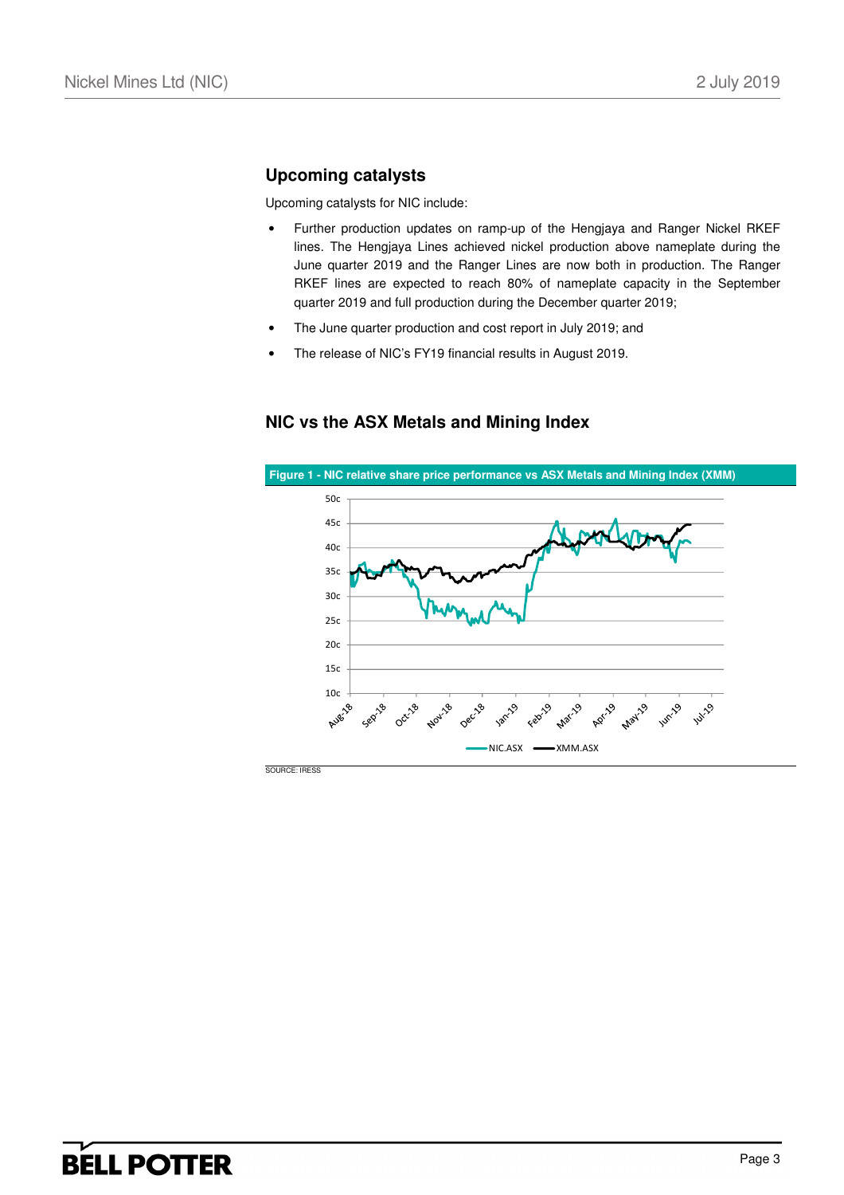### **Upcoming catalysts**

Upcoming catalysts for NIC include:

- Further production updates on ramp-up of the Hengjaya and Ranger Nickel RKEF lines. The Hengjaya Lines achieved nickel production above nameplate during the June quarter 2019 and the Ranger Lines are now both in production. The Ranger RKEF lines are expected to reach 80% of nameplate capacity in the September quarter 2019 and full production during the December quarter 2019;
- The June quarter production and cost report in July 2019; and
- The release of NIC's FY19 financial results in August 2019.

### **NIC vs the ASX Metals and Mining Index**

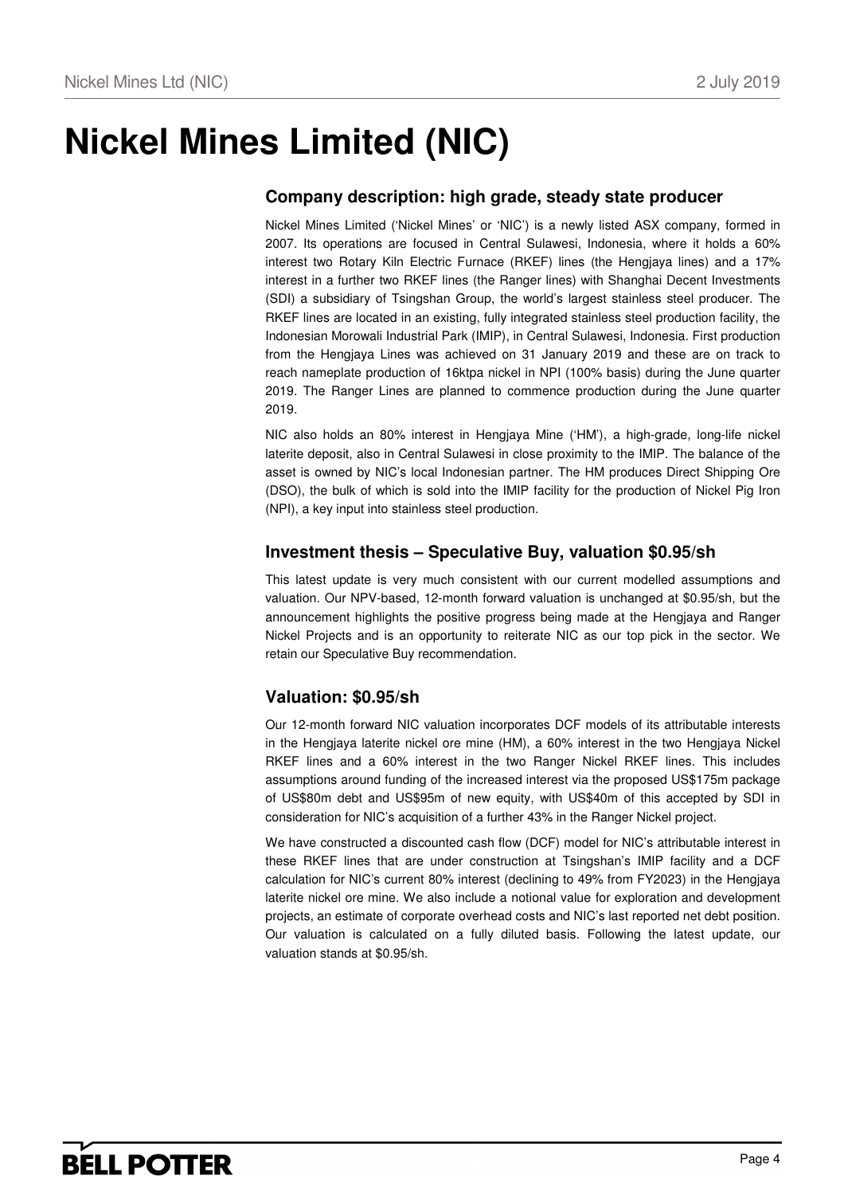## **Nickel Mines Limited (NIC)**

## **Company description: high grade, steady state producer**

Nickel Mines Limited ('Nickel Mines' or 'NIC') is a newly listed ASX company, formed in 2007. Its operations are focused in Central Sulawesi, Indonesia, where it holds a 60% interest two Rotary Kiln Electric Furnace (RKEF) lines (the Hengjaya lines) and a 17% interest in a further two RKEF lines (the Ranger lines) with Shanghai Decent Investments (SDI) a subsidiary of Tsingshan Group, the world's largest stainless steel producer. The RKEF lines are located in an existing, fully integrated stainless steel production facility, the Indonesian Morowali Industrial Park (IMIP), in Central Sulawesi, Indonesia. First production from the Hengjaya Lines was achieved on 31 January 2019 and these are on track to reach nameplate production of 16ktpa nickel in NPI (100% basis) during the June quarter 2019. The Ranger Lines are planned to commence production during the June quarter 2019.

NIC also holds an 80% interest in Hengjaya Mine ('HM'), a high-grade, long-life nickel laterite deposit, also in Central Sulawesi in close proximity to the IMIP. The balance of the asset is owned by NIC's local Indonesian partner. The HM produces Direct Shipping Ore (DSO), the bulk of which is sold into the IMIP facility for the production of Nickel Pig Iron (NPI), a key input into stainless steel production.

### **Investment thesis – Speculative Buy, valuation \$0.95/sh**

This latest update is very much consistent with our current modelled assumptions and valuation. Our NPV-based, 12-month forward valuation is unchanged at \$0.95/sh, but the announcement highlights the positive progress being made at the Hengjaya and Ranger Nickel Projects and is an opportunity to reiterate NIC as our top pick in the sector. We retain our Speculative Buy recommendation.

## **Valuation: \$0.95/sh**

Our 12-month forward NIC valuation incorporates DCF models of its attributable interests in the Hengjaya laterite nickel ore mine (HM), a 60% interest in the two Hengjaya Nickel RKEF lines and a 60% interest in the two Ranger Nickel RKEF lines. This includes assumptions around funding of the increased interest via the proposed US\$175m package of US\$80m debt and US\$95m of new equity, with US\$40m of this accepted by SDI in consideration for NIC's acquisition of a further 43% in the Ranger Nickel project.

We have constructed a discounted cash flow (DCF) model for NIC's attributable interest in these RKEF lines that are under construction at Tsingshan's IMIP facility and a DCF calculation for NIC's current 80% interest (declining to 49% from FY2023) in the Hengjaya laterite nickel ore mine. We also include a notional value for exploration and development projects, an estimate of corporate overhead costs and NIC's last reported net debt position. Our valuation is calculated on a fully diluted basis. Following the latest update, our valuation stands at \$0.95/sh.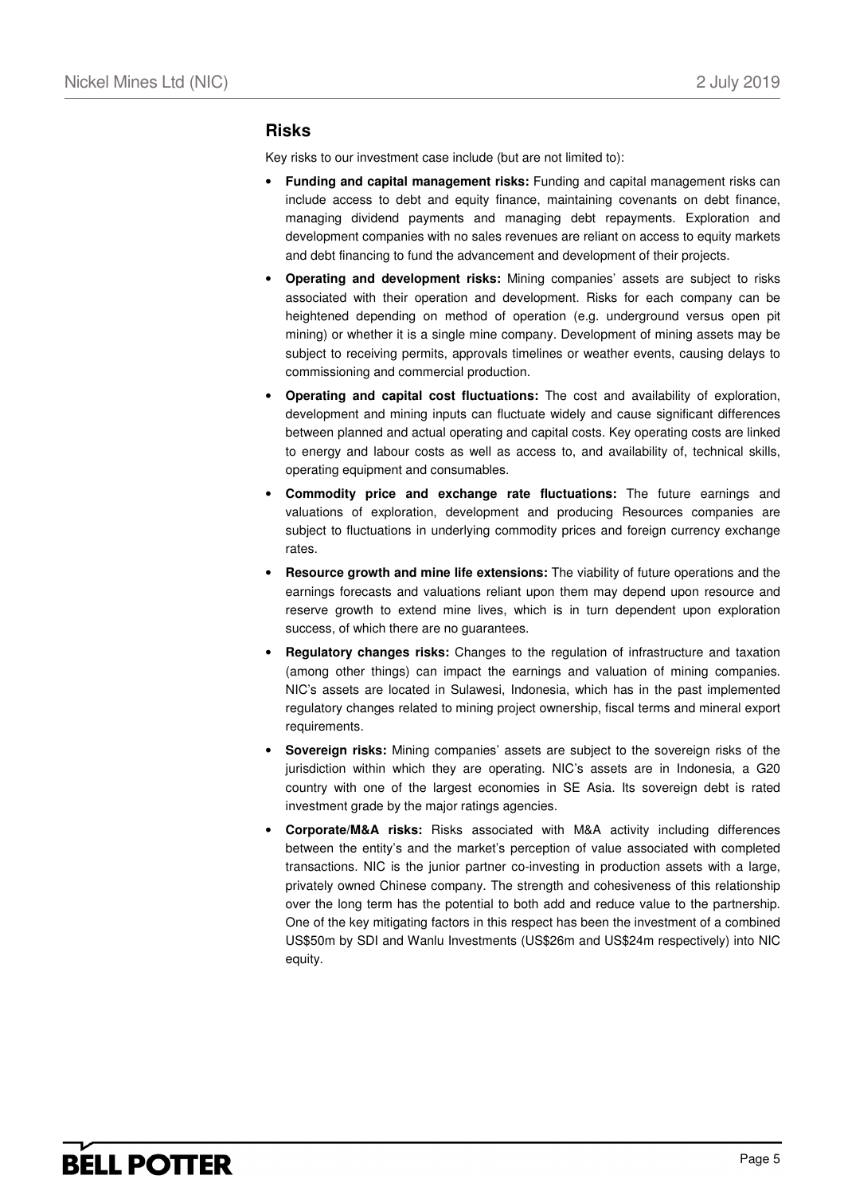### **Risks**

Key risks to our investment case include (but are not limited to):

- **Funding and capital management risks:** Funding and capital management risks can include access to debt and equity finance, maintaining covenants on debt finance, managing dividend payments and managing debt repayments. Exploration and development companies with no sales revenues are reliant on access to equity markets and debt financing to fund the advancement and development of their projects.
- **Operating and development risks:** Mining companies' assets are subject to risks associated with their operation and development. Risks for each company can be heightened depending on method of operation (e.g. underground versus open pit mining) or whether it is a single mine company. Development of mining assets may be subject to receiving permits, approvals timelines or weather events, causing delays to commissioning and commercial production.
- **Operating and capital cost fluctuations:** The cost and availability of exploration, development and mining inputs can fluctuate widely and cause significant differences between planned and actual operating and capital costs. Key operating costs are linked to energy and labour costs as well as access to, and availability of, technical skills, operating equipment and consumables.
- **Commodity price and exchange rate fluctuations:** The future earnings and valuations of exploration, development and producing Resources companies are subject to fluctuations in underlying commodity prices and foreign currency exchange rates.
- **Resource growth and mine life extensions:** The viability of future operations and the earnings forecasts and valuations reliant upon them may depend upon resource and reserve growth to extend mine lives, which is in turn dependent upon exploration success, of which there are no guarantees.
- **Regulatory changes risks:** Changes to the regulation of infrastructure and taxation (among other things) can impact the earnings and valuation of mining companies. NIC's assets are located in Sulawesi, Indonesia, which has in the past implemented regulatory changes related to mining project ownership, fiscal terms and mineral export requirements.
- **Sovereign risks:** Mining companies' assets are subject to the sovereign risks of the jurisdiction within which they are operating. NIC's assets are in Indonesia, a G20 country with one of the largest economies in SE Asia. Its sovereign debt is rated investment grade by the major ratings agencies.
- **Corporate/M&A risks:** Risks associated with M&A activity including differences between the entity's and the market's perception of value associated with completed transactions. NIC is the junior partner co-investing in production assets with a large, privately owned Chinese company. The strength and cohesiveness of this relationship over the long term has the potential to both add and reduce value to the partnership. One of the key mitigating factors in this respect has been the investment of a combined US\$50m by SDI and Wanlu Investments (US\$26m and US\$24m respectively) into NIC equity.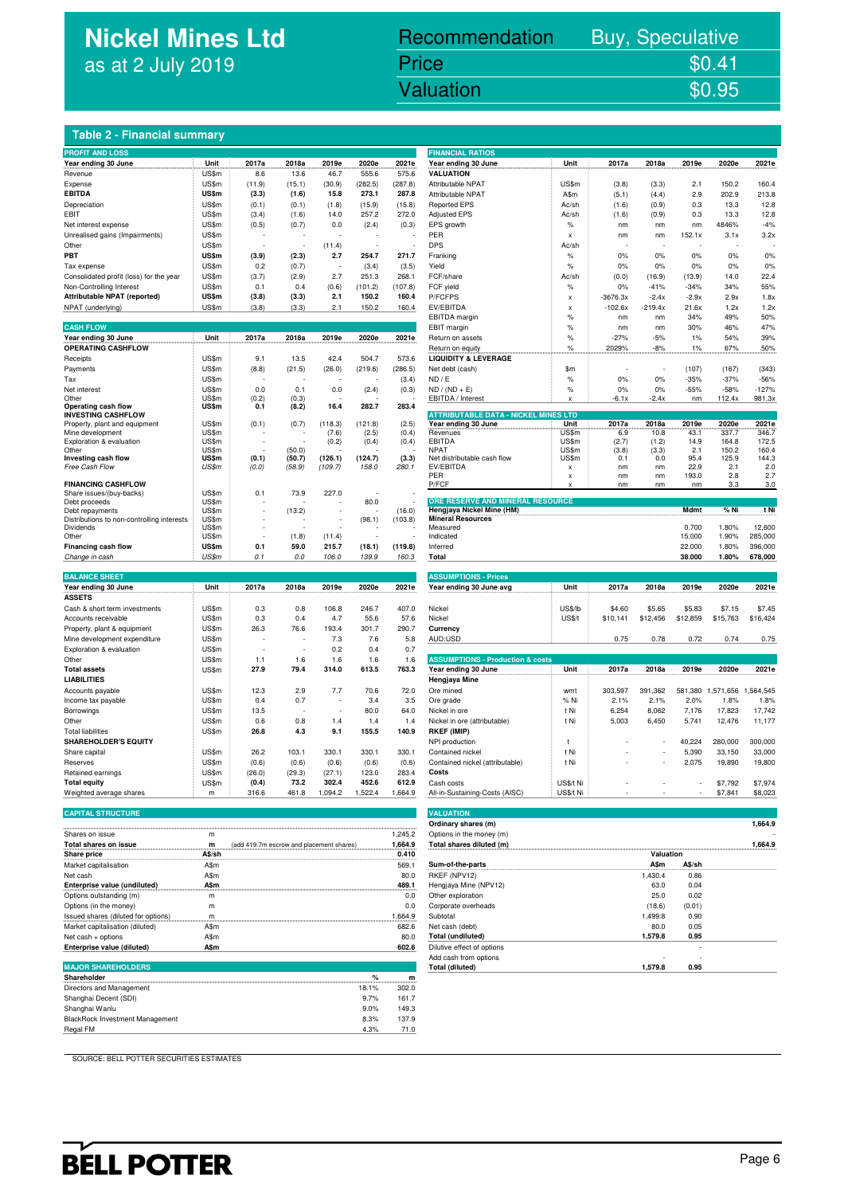## **Nickel Mines Ltd** as at 2 July 2019

### nickel Mines Library (1988). In the United States of the United States of the United States of the United Stat<br>The United States of the United States of the United States of the United States of the United States of the U Recommendation Buy, Speculative Price \$0.41 Valuation  $$0.95$

### **Table 2 - Financial summary**

| <b>PROFIT AND LOSS</b>                                  |                |        |        |                          |                |                | <b>FINANCIAL RATIOS</b>                               |                           |              |               |              |                |                |
|---------------------------------------------------------|----------------|--------|--------|--------------------------|----------------|----------------|-------------------------------------------------------|---------------------------|--------------|---------------|--------------|----------------|----------------|
| Year ending 30 June                                     | Unit           | 2017a  | 2018a  | 2019e                    | 2020e          | 2021e          | Year ending 30 June                                   | Unit                      | 2017a        | 2018a         | 2019e        | 2020e          | 2021e          |
| Revenue                                                 | US\$m          | 8.6    | 13.6   | 46.7                     | 555.6          | 575.6          | <b>VALUATION</b>                                      |                           |              |               |              |                |                |
| Expense                                                 | US\$m          | (11.9) | (15.1) | (30.9)                   | (282.5)        | (287.8)        | Attributable NPAT                                     | US\$m                     | (3.8)        | (3.3)         | 2.1          | 150.2          | 160.4          |
| <b>EBITDA</b>                                           | US\$m          | (3.3)  | (1.6)  | 15.8                     | 273.1          | 287.8          | Attributable NPAT                                     | A\$m                      | (5.1)        | (4.4)         | 2.9          | 202.9          | 213.8          |
| Depreciation                                            | US\$m          | (0.1)  | (0.1)  | (1.8)                    | (15.9)         | (15.8)         | <b>Reported EPS</b>                                   | Ac/sh                     | (1.6)        | (0.9)         | 0.3          | 13.3           | 12.8           |
| EBIT                                                    | US\$m          | (3.4)  | (1.6)  | 14.0                     | 257.2          | 272.0          | Adjusted EPS                                          | Ac/sh                     | (1.6)        | (0.9)         | 0.3          | 13.3           | 12.8           |
| Net interest expense                                    | US\$m          | (0.5)  | (0.7)  | 0.0                      | (2.4)          | (0.3)          | EPS growth                                            | $\%$                      | nm           | nm            | nm           | 4846%          | $-4%$          |
| Unrealised gains (Impairments)                          | US\$m          |        |        |                          |                |                | PER                                                   | x                         | nm           | nm            | 152.1x       | 3.1x           | 3.2x           |
| Other                                                   | US\$m          |        |        | (11.4)                   |                |                | <b>DPS</b>                                            | Ac/sh                     |              |               |              |                |                |
| PBT                                                     | <b>US\$m</b>   | (3.9)  | (2.3)  | 2.7                      | 254.7          | 271.7          | Franking                                              | %                         | 0%           | 0%            | 0%           | 0%             | 0%             |
| Tax expense                                             | US\$m          | 0.2    | (0.7)  | ÷                        | (3.4)          | (3.5)          | Yield                                                 | $\%$                      | 0%           | 0%            | 0%           | 0%             | 0%             |
| Consolidated profit (loss) for the year                 | US\$m          | (3.7)  | (2.9)  | 2.7                      | 251.3          | 268.1          | FCF/share                                             | Ac/sh                     | (0.0)        | (16.9)        | (13.9)       | 14.0           | 22.4           |
|                                                         | US\$m          |        |        |                          |                |                | FCF yield                                             |                           |              |               | $-34%$       | 34%            | 55%            |
| Non-Controlling Interest                                |                | 0.1    | 0.4    | (0.6)                    | (101.2)        | (107.8)        |                                                       | $\%$                      | 0%           | $-41%$        |              |                |                |
| Attributable NPAT (reported)                            | US\$m          | (3.8)  | (3.3)  | 2.1                      | 150.2          | 160.4          | P/FCFPS                                               | X                         | $-3676.3x$   | $-2.4x$       | $-2.9x$      | 2.9x           | 1.8x           |
| NPAT (underlying)                                       | US\$m          | (3.8)  | (3.3)  | 2.1                      | 150.2          | 160.4          | EV/EBITDA                                             | x                         | $-102.6x$    | $-219.4x$     | 21.6x        | 1.2x           | 1.2x           |
|                                                         |                |        |        |                          |                |                | <b>EBITDA</b> margin                                  | %                         | nm           | nm            | 34%          | 49%            | 50%            |
| <b>CASH FLOW</b>                                        |                |        |        |                          |                |                | EBIT margin                                           | %                         | nm           | nm            | 30%          | 46%            | 47%            |
| Year ending 30 June                                     | Unit           | 2017a  | 2018a  | 2019e                    | 2020e          | 2021e          | Return on assets                                      | %                         | $-27%$       | $-5%$         | 1%           | 54%            | 39%            |
| <b>OPERATING CASHFLOW</b>                               |                |        |        |                          |                |                | Return on equity                                      | %                         | 2029%        | -8%           | 1%           | 67%            | 50%            |
| Receipts                                                | US\$m          | 9.1    | 13.5   | 42.4                     | 504.7          | 573.6          | <b>LIQUIDITY &amp; LEVERAGE</b>                       |                           |              |               |              |                |                |
| Payments                                                | US\$m          | (8.8)  | (21.5) | (26.0)                   | (219.6)        | (286.5)        | Net debt (cash)                                       | \$m                       |              |               | (107)        | (167)          | (343)          |
| Tax                                                     | US\$m          |        |        |                          |                | (3.4)          | ND / E                                                | $\%$                      | $0\%$        | $0\%$         | $-35%$       | $-37%$         | $-56%$         |
| Net interest                                            | US\$m          | 0.0    | 0.1    | 0.0                      | (2.4)          | (0.3)          | $ND / (ND + E)$                                       | $\%$                      | 0%           | 0%            | $-55%$       | $-58%$         | $-127%$        |
| Other                                                   | US\$m          | (0.2)  | (0.3)  |                          |                |                | EBITDA / Interest                                     | x                         | $-6.1x$      | $-2.4x$       | nm           | 112.4x         | 981.3x         |
| Operating cash flow                                     | US\$m          | 0.1    | (8.2)  | 16.4                     | 282.7          | 283.4          |                                                       |                           |              |               |              |                |                |
| <b>INVESTING CASHFLOW</b>                               |                |        |        |                          |                |                | <b>ATTRIBUTABLE DATA - NICKEL MINES LTD</b>           |                           |              |               |              |                |                |
| Property, plant and equipment                           | US\$m          | (0.1)  | (0.7)  | (118.3)                  | (121.8)        | (2.5)          | Year ending 30 June<br>.                              | Unit                      | 2017a        | 2018a         | 2019e        | 2020e<br>337.7 | 2021e<br>346.7 |
| Mine development<br>Exploration & evaluation            | US\$m<br>US\$m |        |        | (7.6)<br>(0.2)           | (2.5)<br>(0.4) | (0.4)<br>(0.4) | Revenues<br><b>EBITDA</b>                             | US\$m<br>US\$m            | 6.9<br>(2.7) | 10.8<br>(1.2) | 43.1<br>14.9 | 164.8          | 172.5          |
| Other                                                   | US\$m          |        | (50.0) |                          |                |                | <b>NPAT</b>                                           | US\$m                     | (3.8)        | (3.3)         | 2.1          | 150.2          | 160.4          |
| Investing cash flow                                     | US\$m          | (0.1)  | (50.7) | (126.1)                  | (124.7)        | (3.3)          | Net distributable cash flow                           | US\$m                     | 0.1          | 0.0           | 95.4         | 125.9          | 144.3          |
| Free Cash Flow                                          | US\$m          | (0.0)  | (58.9) | (109.7)                  | 158.0          | 280.1          | EV/EBITDA                                             | $\boldsymbol{\mathsf{x}}$ | nm           | nm            | 22.9         | 2.1            | 2.0            |
|                                                         |                |        |        |                          |                |                | PER                                                   | X                         | nm           | nm            | 193.0        | 2.8            | 2.7            |
| <b>FINANCING CASHFLOW</b>                               |                |        |        |                          |                |                | P/FCF                                                 |                           | nm           | nm            | nm           | 3.3            | 3.0            |
| Share issues/(buy-backs)                                | US\$m          | 0.1    | 73.9   | 227.0                    |                |                |                                                       |                           |              |               |              |                |                |
| Debt proceeds                                           | US\$m          |        |        |                          | 80.0           |                | ORE RESERVE AND MINERAL RESOURCE                      |                           |              |               |              |                |                |
| Debt repayments                                         | US\$m          |        | (13.2) |                          |                | (16.0)         | Hengjaya Nickel Mine (HM)<br><b>Mineral Resources</b> |                           |              |               | Mdmt         | % Ni           | t Ni           |
| Distributions to non-controlling interests<br>Dividends | US\$m<br>US\$m |        |        |                          | (98.1)         | (103.8)        | Measured                                              |                           |              |               | 0.700        | 1.80%          | 12,600         |
| Other                                                   | US\$m          |        | (1.8)  | (11.4)                   |                |                | Indicated                                             |                           |              |               | 15.000       | 1.90%          | 285,000        |
| Financing cash flow                                     | US\$m          | 0.1    | 59.0   | 215.7                    | (18.1)         | (119.8)        | Inferred                                              |                           |              |               | 22.000       | 1.80%          | 396,000        |
| Change in cash                                          | US\$m          | 0.1    | 0.0    | 106.0                    | 139.9          | 160.3          | Total                                                 |                           |              |               | 38.000       | 1.80%          | 678,000        |
|                                                         |                |        |        |                          |                |                |                                                       |                           |              |               |              |                |                |
| <b>BALANCE SHEET</b>                                    |                |        |        |                          |                |                | <b>ASSUMPTIONS - Prices</b>                           |                           |              |               |              |                |                |
| Year ending 30 June                                     | Unit           | 2017a  | 2018a  | 2019e                    | 2020e          | 2021e          | Year ending 30 June avg                               | Unit                      | 2017a        | 2018a         | 2019e        | 2020e          | 2021e          |
| <b>ASSETS</b>                                           |                |        |        |                          |                |                |                                                       |                           |              |               |              |                |                |
|                                                         |                |        |        |                          |                |                |                                                       |                           |              |               |              |                |                |
| Cash & short term investments                           | US\$m          | 0.3    | 0.8    | 106.8                    | 246.7          | 407.0          | Nickel                                                | <b>US\$/lb</b>            | \$4.60       | \$5.65        | \$5.83       | \$7.15         | \$7.45         |
| Accounts receivable                                     | US\$m          | 0.3    | 0.4    | 4.7                      | 55.6           | 57.6           | Nickel                                                | <b>US\$/t</b>             | \$10,141     | \$12,456      | \$12,859     | \$15,763       | \$16,424       |
| Property, plant & equipment                             | US\$m          | 26.3   | 76.6   | 193.4                    | 301.7          | 290.7          | Currency                                              |                           |              |               |              |                |                |
| Mine development expenditure                            | US\$m          |        |        | 7.3                      | 7.6            | 5.8            | AUD:USD                                               |                           | 0.75         | 0.78          | 0.72         | 0.74           | 0.75           |
| Exploration & evaluation                                | US\$m          |        |        | 0.2                      | 0.4            | 0.7            |                                                       |                           |              |               |              |                |                |
| Other                                                   | US\$m          | 1.1    | 1.6    | 1.6                      | 1.6            | 1.6            | <b>ASSUMPTIONS - Production &amp; costs</b>           |                           |              |               |              |                |                |
| <b>Total assets</b>                                     | US\$m          | 27.9   | 79.4   | 314.0                    | 613.5          | 763.3          | Year ending 30 June                                   | Unit                      | 2017a        | 2018a         | 2019e        | 2020e          | 2021e          |
| <b>LIABILITIES</b>                                      |                |        |        |                          |                |                | Hengjaya Mine                                         |                           |              |               |              |                |                |
| Accounts payable                                        | US\$m          | 12.3   | 2.9    | 7.7                      | 70.6           | 72.0           | Ore mined                                             | wmt                       | 303,597      | 391,362       | 581,380      | 1,571,656      | 1,564,545      |
| Income tax payable                                      | US\$m          | 0.4    | 0.7    |                          | 3.4            | 3.5            | Ore grade                                             | % Ni                      | 2.1%         | 2.1%          | 2.0%         | 1.8%           | 1.8%           |
| Borrowings                                              | US\$m          | 13.5   |        | $\overline{\phantom{a}}$ | 80.0           | 64.0           | Nickel in ore                                         | t Ni                      | 6,254        | 8,062         | 7,176        | 17,823         | 17,742         |
|                                                         |                |        | 0.8    |                          |                |                |                                                       |                           |              |               |              |                |                |
| Other                                                   | US\$m          | 0.6    |        | 1.4                      | 1.4            | 1.4            | Nickel in ore (attributable)                          | t Ni                      | 5,003        | 6,450         | 5,741        | 12,476         | 11,177         |
| <b>Total liabilities</b>                                | US\$m          | 26.8   | 4.3    | 9.1                      | 155.5          | 140.9          | <b>RKEF (IMIP)</b>                                    |                           |              |               |              |                |                |
| <b>SHAREHOLDER'S EQUITY</b>                             |                |        |        |                          |                |                | NPI production                                        | t                         |              |               | 40,224       | 280,000        | 300,000        |
| Share capital                                           | US\$m          | 26.2   | 103.1  | 330.1                    | 330.1          | 330.1          | Contained nickel                                      | t Ni                      |              |               | 5,390        | 33,150         | 33,000         |
| Reserves                                                | US\$m          | (0.6)  | (0.6)  | (0.6)                    | (0.6)          | (0.6)          | Contained nickel (attributable)                       | t Ni                      |              |               | 2,075        | 19,890         | 19,800         |
| Retained earnings                                       | US\$m          | (26.0) | (29.3) | (27.1)                   | 123.0          | 283.4          | Costs                                                 |                           |              |               |              |                |                |
| <b>Total equity</b>                                     | US\$m          | (0.4)  | 73.2   | 302.4                    | 452.6          | 612.9          | Cash costs                                            | US\$/t Ni                 |              |               |              | \$7,792        | \$7,974        |
| Weighted average shares                                 | m              | 316.6  | 461.8  | 1,094.2                  | 1,522.4        | 1,664.9        | All-in-Sustaining-Costs (AISC)                        | US\$/t Ni                 |              |               |              | \$7,841        | \$8,023        |
|                                                         |                |        |        |                          |                |                |                                                       |                           |              |               |              |                |                |
| <b>CAPITAL STRUCTURE</b>                                |                |        |        |                          |                |                | <b>VALUATION</b>                                      |                           |              |               |              |                |                |

**Shareholder % m** Directors and Management 18.1% 302.0 Shanghai Decent (SDI) 9.7% 161.7<br>
Shanghai Wanlu 9.0% 149.3<br>
BlackRock Investment Management 19.9% 16.9% 16.9% 17.9

Regal FM 4.3% 71.0

| <b>PROFIT AND LOSS</b>                                                                                                                                                                           |                |                                          |                  |                          |                  |                    | <b>FINANCIAL RATIOS</b>                               |               |            |                |              |              |               |
|--------------------------------------------------------------------------------------------------------------------------------------------------------------------------------------------------|----------------|------------------------------------------|------------------|--------------------------|------------------|--------------------|-------------------------------------------------------|---------------|------------|----------------|--------------|--------------|---------------|
| Year ending 30 June                                                                                                                                                                              | Unit           | 2017a                                    | 2018a            | 2019e                    | 2020e            | 2021e              | Year ending 30 June                                   | Unit          | 2017a      | 2018a          | 2019e        | 2020e        | 2021e         |
| Revenue                                                                                                                                                                                          | US\$m          | 8.6                                      | 13.6             | 46.7                     | 555.6            | 575.6              | <b>VALUATION</b>                                      |               |            |                |              |              |               |
| Expense                                                                                                                                                                                          | US\$m          | (11.9)                                   | (15.1)           | (30.9)                   | (282.5)          | (287.8)            | Attributable NPAT                                     | US\$m         | (3.8)      | (3.3)          | 2.1          | 150.2        | 160.4         |
| EBITDA                                                                                                                                                                                           | US\$m          | (3.3)                                    | (1.6)            | 15.8                     | 273.1            | 287.8              | Attributable NPAT                                     | A\$m          | (5.1)      | (4.4)          | 2.9          | 202.9        | 213.8         |
| Depreciation                                                                                                                                                                                     | US\$m          | (0.1)                                    | (0.1)            | (1.8)                    | (15.9)           | (15.8)             | <b>Reported EPS</b>                                   | Ac/sh         | (1.6)      | (0.9)          | 0.3          | 13.3         | 12.8          |
| EBIT                                                                                                                                                                                             | US\$m          | (3.4)                                    | (1.6)            | 14.0                     | 257.2            | 272.0              | <b>Adjusted EPS</b>                                   | Ac/sh         | (1.6)      | (0.9)          | 0.3          | 13.3         | 12.8          |
| Net interest expense                                                                                                                                                                             | US\$m<br>US\$m | (0.5)                                    | (0.7)            | 0.0                      | (2.4)            | (0.3)              | EPS growth<br>PER                                     | $\%$          | nm         | nm             | nm<br>152.1x | 4846%        | $-4%$<br>3.2x |
| Unrealised gains (Impairments)<br>Other                                                                                                                                                          | US\$m          |                                          |                  |                          |                  |                    | <b>DPS</b>                                            | x             | nm         | nm             |              | 3.1x         |               |
| PBT                                                                                                                                                                                              | US\$m          | (3.9)                                    | (2.3)            | (11.4)<br>2.7            | 254.7            | 271.7              | Franking                                              | Ac/sh<br>$\%$ | 0%         | 0%             | 0%           | 0%           | 0%            |
| Tax expense                                                                                                                                                                                      | US\$m          | 0.2                                      | (0.7)            |                          | (3.4)            | (3.5)              | Yield                                                 | $\%$          | 0%         | 0%             | 0%           | 0%           | 0%            |
| Consolidated profit (loss) for the year                                                                                                                                                          | US\$m          | (3.7)                                    | (2.9)            | 2.7                      | 251.3            | 268.1              | FCF/share                                             | Ac/sh         | (0.0)      | (16.9)         | (13.9)       | 14.0         | 22.4          |
| Non-Controlling Interest                                                                                                                                                                         | US\$m          | 0.1                                      | 0.4              | (0.6)                    | (101.2)          | (107.8)            | FCF yield                                             | $\%$          | 0%         | $-41%$         | $-34%$       | 34%          | 55%           |
| Attributable NPAT (reported)                                                                                                                                                                     | US\$m          | (3.8)                                    | (3.3)            | 2.1                      | 150.2            | 160.4              | P/FCFPS                                               | x             | $-3676.3x$ | $-2.4x$        | $-2.9x$      | 2.9x         | 1.8x          |
| NPAT (underlying)                                                                                                                                                                                | US\$m          | (3.8)                                    | (3.3)            | 2.1                      | 150.2            | 160.4              | EV/EBITDA                                             | x             | $-102.6x$  | $-219.4x$      | 21.6x        | 1.2x         | 1.2x          |
|                                                                                                                                                                                                  |                |                                          |                  |                          |                  |                    | EBITDA margin                                         | $\%$          | nm         | nm             | 34%          | 49%          | 50%           |
| <b>CASH FLOW</b>                                                                                                                                                                                 |                |                                          |                  |                          |                  |                    | EBIT margin                                           | $\%$          | nm         | nm             | 30%          | 46%          | 47%           |
| Year ending 30 June                                                                                                                                                                              | Unit           | 2017a                                    | 2018a            | 2019e                    | 2020e            | 2021e              | Return on assets                                      | $\%$          | $-27%$     | $-5%$          | 1%           | 54%          | 39%           |
| <b>OPERATING CASHFLOW</b>                                                                                                                                                                        |                |                                          |                  |                          |                  |                    | Return on equity                                      | $\%$          | 2029%      | $-8%$          | 1%           | 67%          | 50%           |
| Receipts                                                                                                                                                                                         | US\$m          | 9.1                                      | 13.5             | 42.4                     | 504.7            | 573.6              | <b>LIQUIDITY &amp; LEVERAGE</b>                       |               |            |                |              |              |               |
| Payments                                                                                                                                                                                         | US\$m          | (8.8)                                    | (21.5)           | (26.0)                   | (219.6)          | (286.5)            | Net debt (cash)                                       | \$m           |            | $\overline{a}$ | (107)        | (167)        | (343)         |
| Tax                                                                                                                                                                                              | US\$m          |                                          |                  |                          |                  | (3.4)              | ND / E                                                | $\%$          | 0%         | 0%             | $-35%$       | $-37%$       | $-56%$        |
| Net interest                                                                                                                                                                                     | US\$m          | 0.0                                      | 0.1              | 0.0                      | (2.4)            | (0.3)              | $ND / (ND + E)$                                       | %             | 0%         | 0%             | $-55%$       | $-58%$       | $-127%$       |
| Other                                                                                                                                                                                            | US\$m          | (0.2)                                    | (0.3)            |                          |                  |                    | EBITDA / Interest                                     | x             | $-6.1x$    | $-2.4x$        | nm           | 112.4x       | 981.3x        |
| Operating cash flow<br><b>INVESTING CASHFLOW</b>                                                                                                                                                 | US\$m          | 0.1                                      | (8.2)            | 16.4                     | 282.7            | 283.4              | <b>ATTRIBUTABLE DATA - NICKEL MINES LTD</b>           |               |            |                |              |              |               |
| Property, plant and equipment                                                                                                                                                                    | US\$m          | (0.1)                                    | (0.7)            | (118.3)                  | (121.8)          | (2.5)              | Year ending 30 June                                   | Unit          | 2017a      | 2018a          | 2019e        | 2020e        | 2021e         |
| Mine development                                                                                                                                                                                 | US\$m          |                                          |                  | (7.6)                    | (2.5)            | (0.4)              | Revenues                                              | US\$m         | 6.9        | 10.8           | 43.1         | 337.7        | 346.7         |
| Exploration & evaluation                                                                                                                                                                         | US\$m          |                                          |                  | (0.2)                    | (0.4)            | (0.4)              | <b>EBITDA</b>                                         | US\$m         | (2.7)      | (1.2)          | 14.9         | 164.8        | 172.5         |
| Other                                                                                                                                                                                            | US\$m          |                                          | (50.0)           |                          |                  |                    | <b>NPAT</b>                                           | US\$m         | (3.8)      | (3.3)          | 2.1          | 150.2        | 160.4         |
| Investing cash flow<br><i>Free Cash Flow</i>                                                                                                                                                     | US\$m<br>US\$m | (0.1)                                    | (50.7)<br>(58.9) | (126.1)<br>(109.7)       | (124.7)<br>158.0 | (3.3)<br>280.1     | Net distributable cash flow<br>EV/EBITDA              | US\$m         | 0.1        | 0.0            | 95.4<br>22.9 | 125.9<br>2.1 | 144.3<br>2.0  |
|                                                                                                                                                                                                  |                | (0.0)                                    |                  |                          |                  |                    | PER                                                   | x<br>x        | nm<br>nm   | nm<br>nm       | 193.0        | 2.8          | 2.7           |
| <b>FINANCING CASHFLOW</b>                                                                                                                                                                        |                |                                          |                  |                          |                  |                    | P/FCF                                                 | X             | nm         | nm             | nm           | 3.3          | 3.0           |
| Share issues/(buy-backs)                                                                                                                                                                         | US\$m          | 0.1                                      | 73.9             | 227.0                    |                  |                    |                                                       |               |            |                |              |              |               |
| Debt proceeds                                                                                                                                                                                    | US\$m          |                                          |                  |                          | 80.0             |                    | ORE RESERVE AND MINERAL RESOURCE                      |               |            |                |              |              |               |
| Debt repayments<br>Distributions to non-controlling interests                                                                                                                                    | US\$m<br>US\$m |                                          | (13.2)           | J.                       | (98.1)           | (16.0)<br>(103.8)  | Hengjaya Nickel Mine (HM)<br><b>Mineral Resources</b> |               |            |                | Mdmt         | % Ni         | t Ni          |
| Dividends                                                                                                                                                                                        | US\$m          |                                          |                  |                          |                  |                    | Measured                                              |               |            |                | 0.700        | 1.80%        | 12,600        |
| Other                                                                                                                                                                                            | US\$m          |                                          | (1.8)            | (11.4)                   |                  |                    | Indicated                                             |               |            |                | 15.000       | 1.90%        | 285,000       |
| <b>Financing cash flow</b>                                                                                                                                                                       | US\$m          | 0.1                                      | 59.0             | 215.7                    | (18.1)           | (119.8)            | Inferred                                              |               |            |                | 22.000       | 1.80%        | 396,000       |
| Change in cash                                                                                                                                                                                   | US\$m          | 0.1                                      | 0.0              | 106.0                    | 139.9            | 160.3              | Total                                                 |               |            |                | 38.000       | 1.80%        | 678,000       |
|                                                                                                                                                                                                  |                |                                          |                  |                          |                  |                    |                                                       |               |            |                |              |              |               |
|                                                                                                                                                                                                  |                |                                          |                  |                          |                  |                    |                                                       |               |            |                |              |              |               |
| <b>BALANCE SHEET</b>                                                                                                                                                                             |                |                                          |                  |                          |                  |                    | <b>ASSUMPTIONS - Prices</b>                           |               |            |                |              |              |               |
| Year ending 30 June                                                                                                                                                                              | Unit           | 2017a                                    | 2018a            | 2019e                    | 2020e            | 2021e              | Year ending 30 June avg                               | Unit          | 2017a      | 2018a          | 2019e        | 2020e        | 2021e         |
| ASSETS                                                                                                                                                                                           |                |                                          |                  |                          |                  |                    |                                                       |               |            |                |              |              |               |
| Cash & short term investments                                                                                                                                                                    | US\$m          | 0.3                                      | 0.8              | 106.8                    | 246.7            | 407.0              | Nickel                                                | US\$/lb       | \$4.60     | \$5.65         | \$5.83       | \$7.15       | \$7.45        |
| Accounts receivable                                                                                                                                                                              | US\$m          | 0.3                                      | 0.4              | 4.7                      | 55.6             | 57.6               | Nickel                                                | US\$/t        | \$10,141   | \$12,456       | \$12,859     | \$15,763     | \$16,424      |
| Property, plant & equipment                                                                                                                                                                      | US\$m          | 26.3                                     | 76.6             | 193.4                    | 301.7            | 290.7              | Currency                                              |               |            |                |              |              |               |
| Mine development expenditure                                                                                                                                                                     | US\$m          |                                          |                  | 7.3                      | 7.6              | 5.8                | AUD:USD                                               |               | 0.75       | 0.78           | 0.72         | 0.74         | 0.75          |
| Exploration & evaluation                                                                                                                                                                         | US\$m          |                                          |                  | 0.2                      | 0.4              | 0.7                |                                                       |               |            |                |              |              |               |
| Other                                                                                                                                                                                            | US\$m          | 1.1                                      | 1.6              | 1.6                      | 1.6              | 1.6                | <b>ASSUMPTIONS - Production &amp; costs</b>           |               |            |                |              |              |               |
| <b>Total assets</b>                                                                                                                                                                              | US\$m          | 27.9                                     | 79.4             | 314.0                    | 613.5            | 763.3              | Year ending 30 June                                   | Unit          | 2017a      | 2018a          | 2019e        | 2020e        | 2021e         |
| LIABILITIES                                                                                                                                                                                      |                |                                          |                  |                          |                  |                    | Hengjaya Mine                                         |               |            |                |              |              |               |
| Accounts payable                                                                                                                                                                                 | US\$m          | 12.3                                     | 2.9              | 7.7                      | 70.6             | 72.0               | Ore mined                                             | wmt           | 303,597    | 391,362        | 581,380      | 1,571,656    | 1,564,545     |
| Income tax payable                                                                                                                                                                               | US\$m          | 0.4                                      | 0.7              |                          | 3.4              | 3.5                | Ore grade                                             | % Ni          | 2.1%       | 2.1%           | 2.0%         | 1.8%         | 1.8%          |
| Borrowings                                                                                                                                                                                       | US\$m          | 13.5                                     |                  | $\overline{\phantom{a}}$ | 80.0             | 64.0               | Nickel in ore                                         | t Ni          | 6,254      | 8,062          | 7,176        | 17,823       | 17,742        |
| Other                                                                                                                                                                                            | US\$m          | 0.6                                      | 0.8              | 1.4                      | 1.4              | 1.4                | Nickel in ore (attributable)                          | t Ni          | 5,003      | 6,450          | 5,741        | 12,476       | 11,177        |
| <b>Total liabilities</b>                                                                                                                                                                         | US\$m          | 26.8                                     | 4.3              | 9.1                      | 155.5            | 140.9              | <b>RKEF (IMIP)</b>                                    |               |            |                |              |              |               |
| <b>SHAREHOLDER'S EQUITY</b>                                                                                                                                                                      |                |                                          |                  |                          |                  |                    | NPI production                                        | t             |            |                | 40,224       | 280,000      | 300,000       |
| Share capital                                                                                                                                                                                    | US\$m          | 26.2                                     | 103.1            | 330.1                    | 330.1            | 330.1              | Contained nickel                                      | t Ni          |            |                | 5,390        | 33,150       | 33,000        |
| Reserves                                                                                                                                                                                         | US\$m          | (0.6)                                    | (0.6)            | (0.6)                    | (0.6)            | (0.6)              | Contained nickel (attributable)                       | t Ni          |            |                | 2,075        | 19,890       | 19,800        |
| Retained earnings                                                                                                                                                                                | US\$m          | (26.0)                                   | (29.3)           | (27.1)                   | 123.0            | 283.4              | Costs                                                 |               |            |                |              |              |               |
|                                                                                                                                                                                                  | US\$m          | (0.4)                                    | 73.2             | 302.4                    | 452.6            | 612.9              | Cash costs                                            | US\$/t Ni     |            |                |              | \$7,792      | \$7,974       |
|                                                                                                                                                                                                  | m              | 316.6                                    | 461.8            | 1,094.2                  | 1,522.4          | 1,664.9            | All-in-Sustaining-Costs (AISC)                        | US\$/t Ni     |            |                |              | \$7,841      | \$8,023       |
|                                                                                                                                                                                                  |                |                                          |                  |                          |                  |                    |                                                       |               |            |                |              |              |               |
| <b>Total equity</b><br>Weighted average shares<br><b>CAPITAL STRUCTURE</b>                                                                                                                       |                |                                          |                  |                          |                  |                    | <b>VALUATION</b><br>Ordinary shares (m)               |               |            |                |              |              | 1,664.9       |
|                                                                                                                                                                                                  | m              |                                          |                  |                          |                  |                    |                                                       |               |            |                |              |              |               |
| Shares on issue<br>Total shares on issue                                                                                                                                                         | m              |                                          |                  |                          |                  | 1,245.2<br>1,664.9 | Options in the money (m)<br>Total shares diluted (m)  |               |            |                |              |              |               |
| Share price                                                                                                                                                                                      | A\$/sh         | (add 419.7m escrow and placement shares) |                  |                          |                  | 0.410              |                                                       |               |            | Valuation      |              |              | 1,664.9       |
|                                                                                                                                                                                                  | A\$m           |                                          |                  |                          |                  | 569.1              | Sum-of-the-parts                                      |               |            | A\$m           | A\$/sh       |              |               |
|                                                                                                                                                                                                  | A\$m           |                                          |                  |                          |                  | 80.0               | RKEF (NPV12)                                          |               |            | 1,430.4        | 0.86         |              |               |
|                                                                                                                                                                                                  | A\$m           |                                          |                  |                          |                  | 489.1              | Hengjaya Mine (NPV12)                                 |               |            | 63.0           | 0.04         |              |               |
|                                                                                                                                                                                                  | m              |                                          |                  |                          |                  | 0.0                | Other exploration                                     |               |            | 25.0           | 0.02         |              |               |
|                                                                                                                                                                                                  | m              |                                          |                  |                          |                  | 0.0                | Corporate overheads                                   |               |            | (18.6)         | (0.01)       |              |               |
|                                                                                                                                                                                                  | m              |                                          |                  |                          |                  | 1,664.9            | Subtotal                                              |               |            | 1,499.8        | 0.90         |              |               |
| Market capitalisation<br>Net cash<br>Enterprise value (undiluted)<br>Options outstanding (m)<br>Options (in the money)<br>Issued shares (diluted for options)<br>Market capitalisation (diluted) | A\$m           |                                          |                  |                          |                  | 682.6              | Net cash (debt)                                       |               |            | 80.0           | 0.05         |              |               |
| Net cash + options                                                                                                                                                                               | A\$m           |                                          |                  |                          |                  | 80.0               | <b>Total (undiluted)</b>                              |               |            | 1,579.8        | 0.95         |              |               |
| Enterprise value (diluted)                                                                                                                                                                       | A\$m           |                                          |                  |                          |                  | 602.6              | Dilutive effect of options                            |               |            |                |              |              |               |
| <b>MAJOR SHAREHOLDERS</b>                                                                                                                                                                        |                |                                          |                  |                          |                  |                    | Add cash from options                                 |               |            |                |              |              |               |

SOURCE: BELL POTTER SECURITIES ESTIMATES

Shanghai Wanlu

BlackRock Investment Management